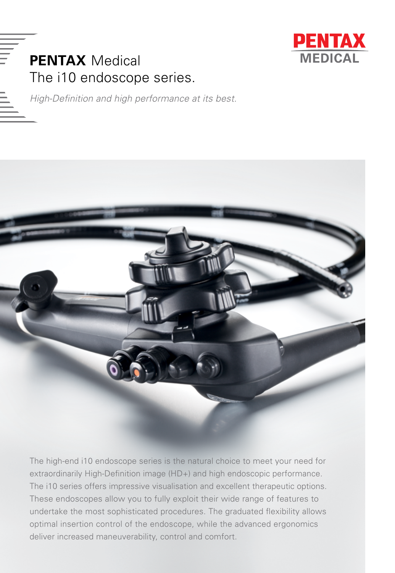

# **PENTAX** Medical The i10 endoscope series.

*High-Definition and high performance at its best.*



The high-end i10 endoscope series is the natural choice to meet your need for extraordinarily High-Definition image (HD+) and high endoscopic performance. The i10 series offers impressive visualisation and excellent therapeutic options. These endoscopes allow you to fully exploit their wide range of features to undertake the most sophisticated procedures. The graduated flexibility allows optimal insertion control of the endoscope, while the advanced ergonomics deliver increased maneuverability, control and comfort.